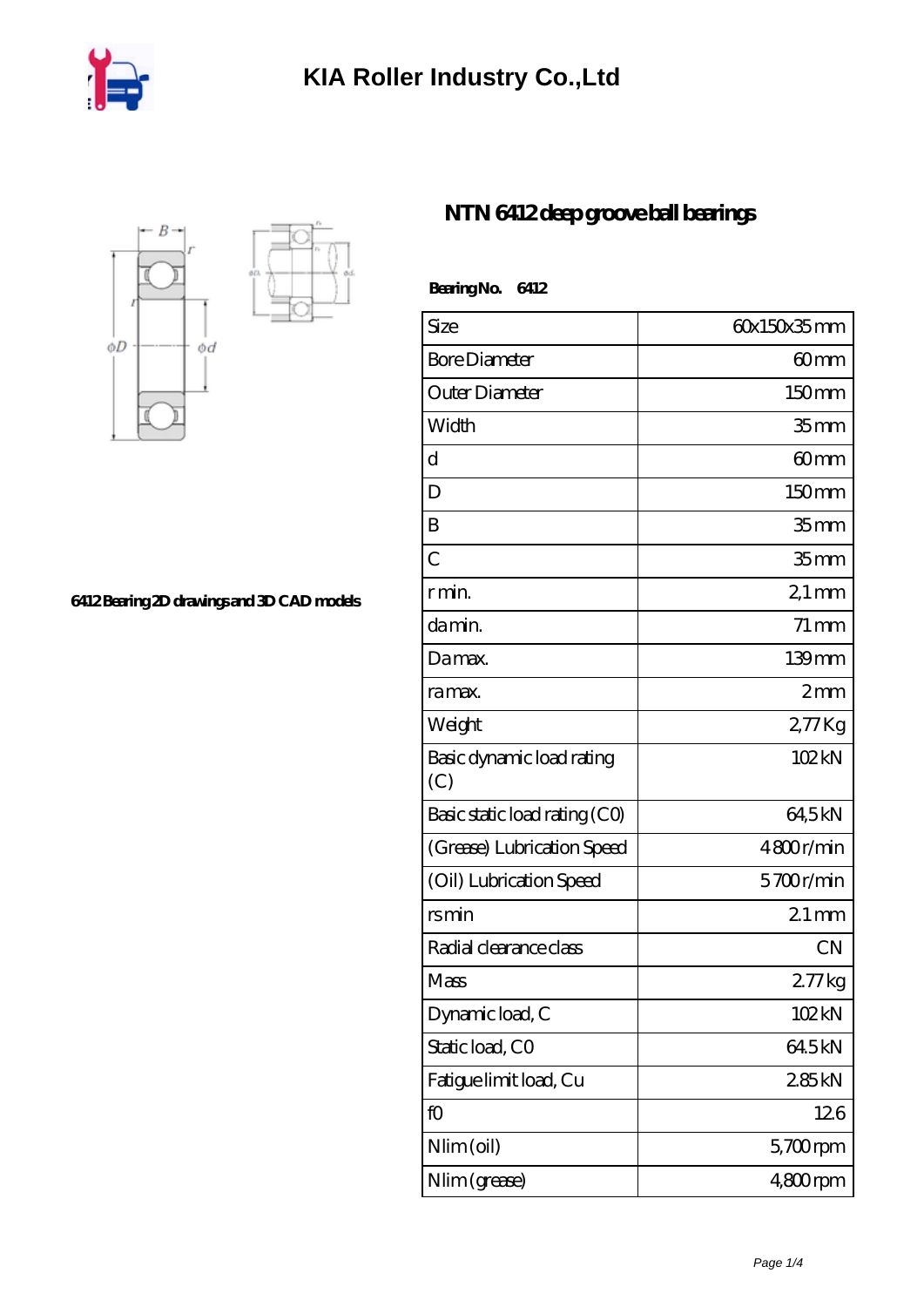



**[6412 Bearing 2D drawings and 3D CAD models](https://m.iyded.com/pic-65865.html)**

## **[NTN 6412 deep groove ball bearings](https://m.iyded.com/aw-65865-ntn-6412-deep-groove-ball-bearings.html)**

| BearingNo.<br>6412               |                    |
|----------------------------------|--------------------|
| Size                             | 60x150x35mm        |
| <b>Bore Diameter</b>             | 60mm               |
| Outer Diameter                   | 150 <sub>mm</sub>  |
| Width                            | 35 <sub>mm</sub>   |
| d                                | 60 <sub>mm</sub>   |
| D                                | 150mm              |
| B                                | 35mm               |
| $\overline{C}$                   | 35 <sub>mm</sub>   |
| r min.                           | $21 \,\mathrm{mm}$ |
| da min.                          | $71 \,\mathrm{mm}$ |
| Damax.                           | 139mm              |
| ra max.                          | 2mm                |
| Weight                           | 277Kg              |
| Basic dynamic load rating<br>(C) | 102kN              |
| Basic static load rating (CO)    | 64,5kN             |
| (Grease) Lubrication Speed       | 4800r/min          |
| (Oil) Lubrication Speed          | 5700r/min          |
| rsmin                            | $21 \,\mathrm{mm}$ |
| Radial clearance class           | <b>CN</b>          |
| Mass                             | $277$ kg           |
| Dynamic load, C                  | 102kN              |
| Static load, CO                  | 64.5kN             |
| Fatigue limit load, Cu           | 285kN              |
| fO                               | 126                |
| Nlim (oil)                       | $5,700$ rpm        |
| Nlim (grease)                    | $480$ rpm          |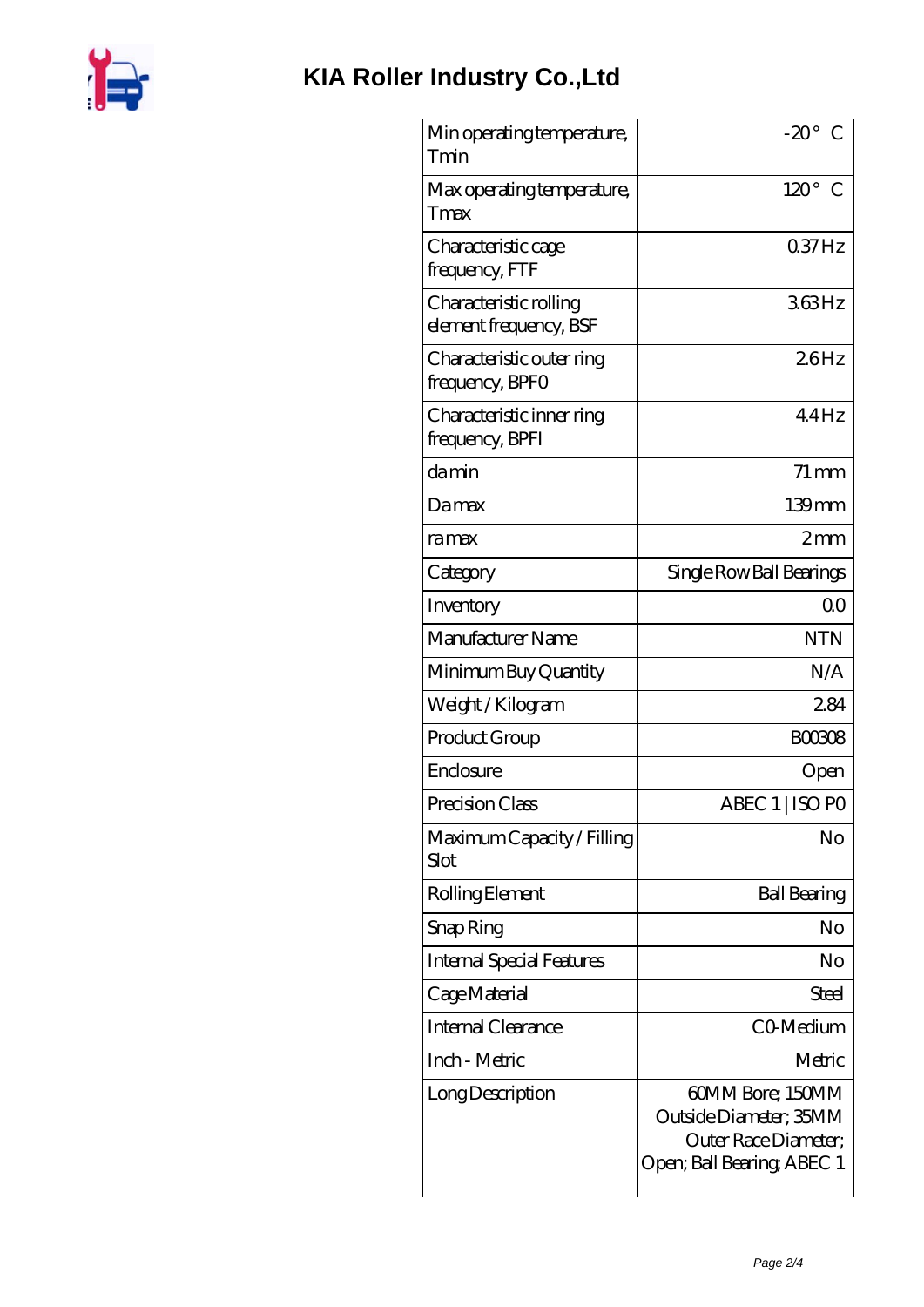

| Min operating temperature,<br>Tmin               | $-20^\circ$ C                                                                                    |
|--------------------------------------------------|--------------------------------------------------------------------------------------------------|
| Max operating temperature,<br>Tmax               | $120^\circ$<br>€                                                                                 |
| Characteristic cage<br>frequency, FTF            | $037$ Hz                                                                                         |
| Characteristic rolling<br>element frequency, BSF | 363Hz                                                                                            |
| Characteristic outer ring<br>frequency, BPFO     | 26Hz                                                                                             |
| Characteristic inner ring<br>frequency, BPFI     | 44Hz                                                                                             |
| damin                                            | $71 \text{ mm}$                                                                                  |
| Damax                                            | $139$ mm                                                                                         |
| ramax                                            | 2mm                                                                                              |
| Category                                         | Single Row Ball Bearings                                                                         |
| Inventory                                        | 0 <sup>0</sup>                                                                                   |
| Manufacturer Name                                | <b>NTN</b>                                                                                       |
| Minimum Buy Quantity                             | N/A                                                                                              |
| Weight / Kilogram                                | 284                                                                                              |
| Product Group                                    | BOO3O8                                                                                           |
| Enclosure                                        | Open                                                                                             |
| Precision Class                                  | ABEC 1   ISO PO                                                                                  |
| Maximum Capacity / Filling<br>Slot               | No                                                                                               |
| Rolling Element                                  | <b>Ball Bearing</b>                                                                              |
| Snap Ring                                        | No                                                                                               |
| <b>Internal Special Features</b>                 | No                                                                                               |
| Cage Material                                    | Steel                                                                                            |
| <b>Internal Clearance</b>                        | CO-Medium                                                                                        |
| Inch - Metric                                    | Metric                                                                                           |
| Long Description                                 | 60MM Bore; 150MM<br>Outside Diameter; 35MM<br>Outer Race Diameter;<br>Open; Ball Bearing; ABEC 1 |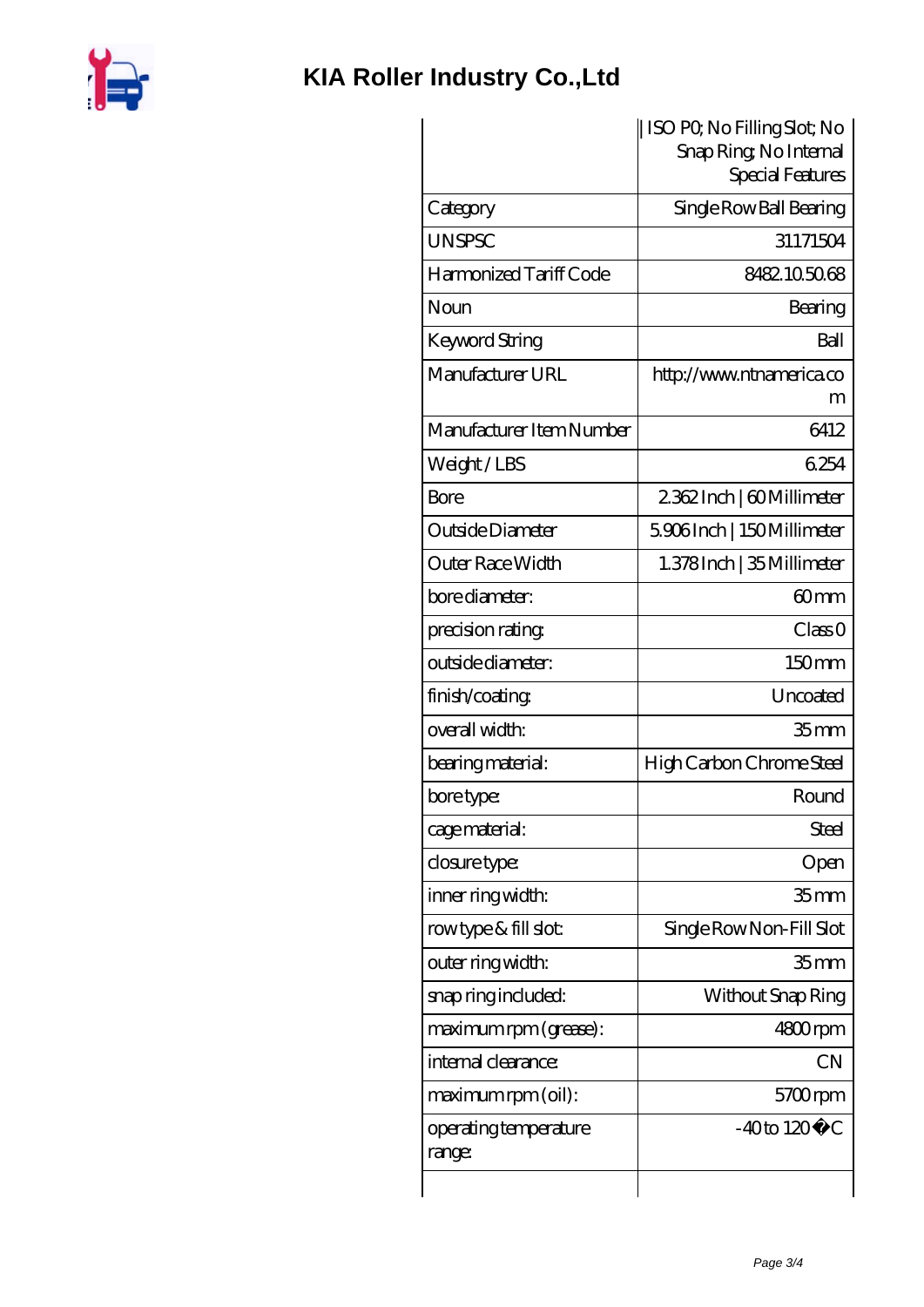

## **[KIA Roller Industry Co.,Ltd](https://m.iyded.com)**

|                                 | ISO PO, No Filling Slot; No<br>Snap Ring, No Internal |
|---------------------------------|-------------------------------------------------------|
|                                 | Special Features                                      |
| Category                        | Single Row Ball Bearing                               |
| <b>UNSPSC</b>                   | 31171504                                              |
| Harmonized Tariff Code          | 8482105068                                            |
| Noun                            | Bearing                                               |
| <b>Keyword String</b>           | Ball                                                  |
| Manufacturer URL                | http://www.ntnamerica.co<br>m                         |
| Manufacturer Item Number        | 6412                                                  |
| Weight/LBS                      | 6254                                                  |
| <b>Bore</b>                     | 2362Inch   60Millimeter                               |
| Outside Diameter                | 5906Inch   150Millimeter                              |
| Outer Race Width                | 1.378Inch   35 Millimeter                             |
| bore diameter:                  | 60 <sub>mm</sub>                                      |
| precision rating                | Class 0                                               |
| outside diameter:               | 150mm                                                 |
| finish/coating                  | Uncoated                                              |
| overall width:                  | 35 <sub>mm</sub>                                      |
| bearing material:               | High Carbon Chrome Steel                              |
| bore type:                      | Round                                                 |
| cage material:                  | Steel                                                 |
| closure type:                   | Open                                                  |
| inner ring width:               | 35 <sub>mm</sub>                                      |
| rowtype & fill slot:            | Single Row Non-Fill Slot                              |
| outer ring width:               | 35 <sub>mm</sub>                                      |
| snap ring included:             | Without Snap Ring                                     |
| maximum rpm (grease):           | 4800rpm                                               |
| internal clearance:             | <b>CN</b>                                             |
| maximum rpm (oil):              | 5700rpm                                               |
| operating temperature<br>range: | $-40$ to $120^{\circ}$ C                              |
|                                 |                                                       |